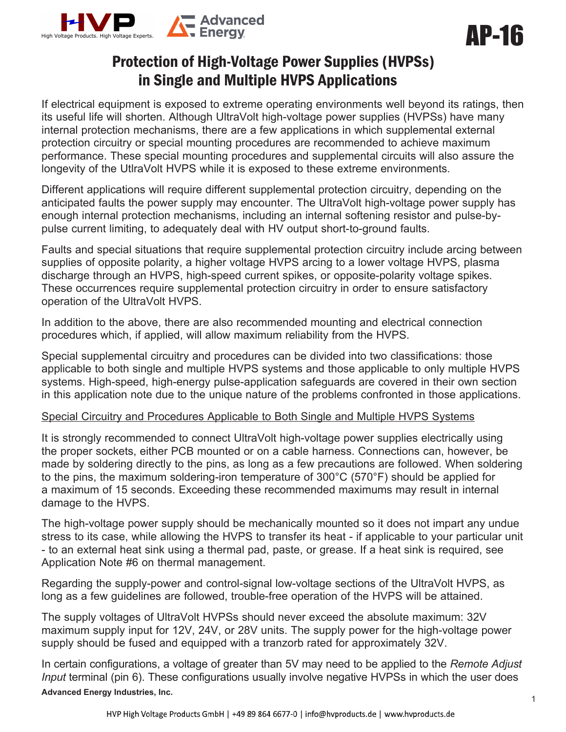

# Protection of High-Voltage Power Supplies (HVPSs) in Single and Multiple HVPS Applications

If electrical equipment is exposed to extreme operating environments well beyond its ratings, then its useful life will shorten. Although UltraVolt high-voltage power supplies (HVPSs) have many internal protection mechanisms, there are a few applications in which supplemental external protection circuitry or special mounting procedures are recommended to achieve maximum performance. These special mounting procedures and supplemental circuits will also assure the longevity of the UtlraVolt HVPS while it is exposed to these extreme environments.

Different applications will require different supplemental protection circuitry, depending on the anticipated faults the power supply may encounter. The UltraVolt high-voltage power supply has enough internal protection mechanisms, including an internal softening resistor and pulse-bypulse current limiting, to adequately deal with HV output short-to-ground faults.

Faults and special situations that require supplemental protection circuitry include arcing between supplies of opposite polarity, a higher voltage HVPS arcing to a lower voltage HVPS, plasma discharge through an HVPS, high-speed current spikes, or opposite-polarity voltage spikes. These occurrences require supplemental protection circuitry in order to ensure satisfactory operation of the UltraVolt HVPS.

In addition to the above, there are also recommended mounting and electrical connection procedures which, if applied, will allow maximum reliability from the HVPS.

Special supplemental circuitry and procedures can be divided into two classifications: those applicable to both single and multiple HVPS systems and those applicable to only multiple HVPS systems. High-speed, high-energy pulse-application safeguards are covered in their own section in this application note due to the unique nature of the problems confronted in those applications.

#### Special Circuitry and Procedures Applicable to Both Single and Multiple HVPS Systems

It is strongly recommended to connect UltraVolt high-voltage power supplies electrically using the proper sockets, either PCB mounted or on a cable harness. Connections can, however, be made by soldering directly to the pins, as long as a few precautions are followed. When soldering to the pins, the maximum soldering-iron temperature of 300°C (570°F) should be applied for a maximum of 15 seconds. Exceeding these recommended maximums may result in internal damage to the HVPS.

The high-voltage power supply should be mechanically mounted so it does not impart any undue stress to its case, while allowing the HVPS to transfer its heat - if applicable to your particular unit - to an external heat sink using a thermal pad, paste, or grease. If a heat sink is required, see Application Note #6 on thermal management.

Regarding the supply-power and control-signal low-voltage sections of the UltraVolt HVPS, as long as a few guidelines are followed, trouble-free operation of the HVPS will be attained.

The supply voltages of UltraVolt HVPSs should never exceed the absolute maximum: 32V maximum supply input for 12V, 24V, or 28V units. The supply power for the high-voltage power supply should be fused and equipped with a tranzorb rated for approximately 32V.

**Advanced Energy Industries, Inc.**  In certain configurations, a voltage of greater than 5V may need to be applied to the *Remote Adjust Input* terminal (pin 6). These configurations usually involve negative HVPSs in which the user does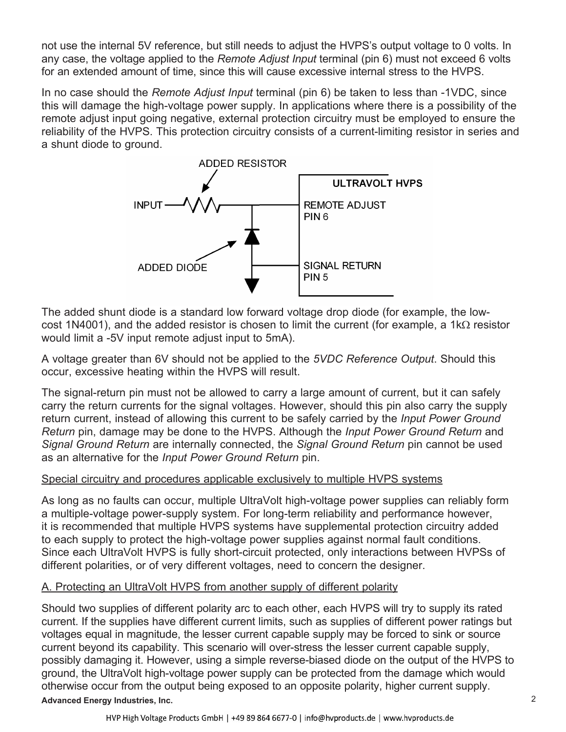not use the internal 5V reference, but still needs to adjust the HVPS's output voltage to 0 volts. In any case, the voltage applied to the *Remote Adjust Input* terminal (pin 6) must not exceed 6 volts for an extended amount of time, since this will cause excessive internal stress to the HVPS.

In no case should the *Remote Adjust Input* terminal (pin 6) be taken to less than -1VDC, since this will damage the high-voltage power supply. In applications where there is a possibility of the remote adjust input going negative, external protection circuitry must be employed to ensure the reliability of the HVPS. This protection circuitry consists of a current-limiting resistor in series and a shunt diode to ground.



The added shunt diode is a standard low forward voltage drop diode (for example, the lowcost 1N4001), and the added resistor is chosen to limit the current (for example, a 1k $\Omega$  resistor would limit a -5V input remote adjust input to 5mA).

A voltage greater than 6V should not be applied to the *5VDC Reference Output*. Should this occur, excessive heating within the HVPS will result.

The signal-return pin must not be allowed to carry a large amount of current, but it can safely carry the return currents for the signal voltages. However, should this pin also carry the supply return current, instead of allowing this current to be safely carried by the *Input Power Ground Return* pin, damage may be done to the HVPS. Although the *Input Power Ground Return* and *Signal Ground Return* are internally connected, the *Signal Ground Return* pin cannot be used as an alternative for the *Input Power Ground Return* pin.

#### Special circuitry and procedures applicable exclusively to multiple HVPS systems

As long as no faults can occur, multiple UltraVolt high-voltage power supplies can reliably form a multiple-voltage power-supply system. For long-term reliability and performance however, it is recommended that multiple HVPS systems have supplemental protection circuitry added to each supply to protect the high-voltage power supplies against normal fault conditions. Since each UltraVolt HVPS is fully short-circuit protected, only interactions between HVPSs of different polarities, or of very different voltages, need to concern the designer.

#### A. Protecting an UltraVolt HVPS from another supply of different polarity

**Advanced Energy Industries, Inc.**  Should two supplies of different polarity arc to each other, each HVPS will try to supply its rated current. If the supplies have different current limits, such as supplies of different power ratings but voltages equal in magnitude, the lesser current capable supply may be forced to sink or source current beyond its capability. This scenario will over-stress the lesser current capable supply, possibly damaging it. However, using a simple reverse-biased diode on the output of the HVPS to ground, the UltraVolt high-voltage power supply can be protected from the damage which would otherwise occur from the output being exposed to an opposite polarity, higher current supply.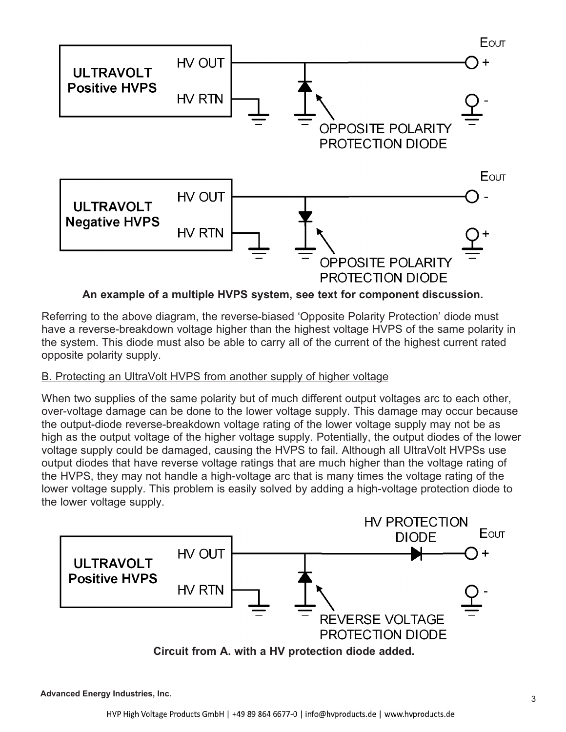

## **An example of a multiple HVPS system, see text for component discussion.**

Referring to the above diagram, the reverse-biased 'Opposite Polarity Protection' diode must have a reverse-breakdown voltage higher than the highest voltage HVPS of the same polarity in the system. This diode must also be able to carry all of the current of the highest current rated opposite polarity supply.

#### B. Protecting an UltraVolt HVPS from another supply of higher voltage

When two supplies of the same polarity but of much different output voltages arc to each other, over-voltage damage can be done to the lower voltage supply. This damage may occur because the output-diode reverse-breakdown voltage rating of the lower voltage supply may not be as high as the output voltage of the higher voltage supply. Potentially, the output diodes of the lower voltage supply could be damaged, causing the HVPS to fail. Although all UltraVolt HVPSs use output diodes that have reverse voltage ratings that are much higher than the voltage rating of the HVPS, they may not handle a high-voltage arc that is many times the voltage rating of the lower voltage supply. This problem is easily solved by adding a high-voltage protection diode to the lower voltage supply.

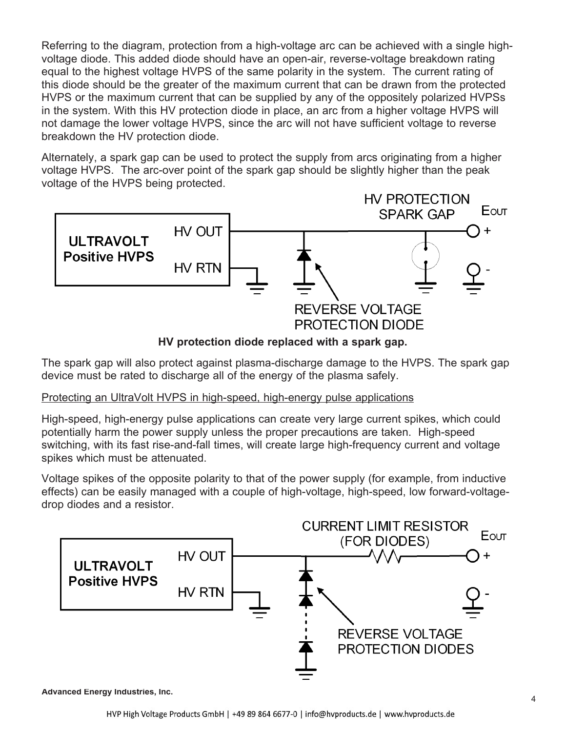Referring to the diagram, protection from a high-voltage arc can be achieved with a single highvoltage diode. This added diode should have an open-air, reverse-voltage breakdown rating equal to the highest voltage HVPS of the same polarity in the system. The current rating of this diode should be the greater of the maximum current that can be drawn from the protected HVPS or the maximum current that can be supplied by any of the oppositely polarized HVPSs in the system. With this HV protection diode in place, an arc from a higher voltage HVPS will not damage the lower voltage HVPS, since the arc will not have sufficient voltage to reverse breakdown the HV protection diode.

Alternately, a spark gap can be used to protect the supply from arcs originating from a higher voltage HVPS. The arc-over point of the spark gap should be slightly higher than the peak voltage of the HVPS being protected.



**HV protection diode replaced with a spark gap.**

The spark gap will also protect against plasma-discharge damage to the HVPS. The spark gap device must be rated to discharge all of the energy of the plasma safely.

# Protecting an UltraVolt HVPS in high-speed, high-energy pulse applications

High-speed, high-energy pulse applications can create very large current spikes, which could potentially harm the power supply unless the proper precautions are taken. High-speed switching, with its fast rise-and-fall times, will create large high-frequency current and voltage spikes which must be attenuated.

Voltage spikes of the opposite polarity to that of the power supply (for example, from inductive effects) can be easily managed with a couple of high-voltage, high-speed, low forward-voltagedrop diodes and a resistor.



**Advanced Energy Industries, Inc.**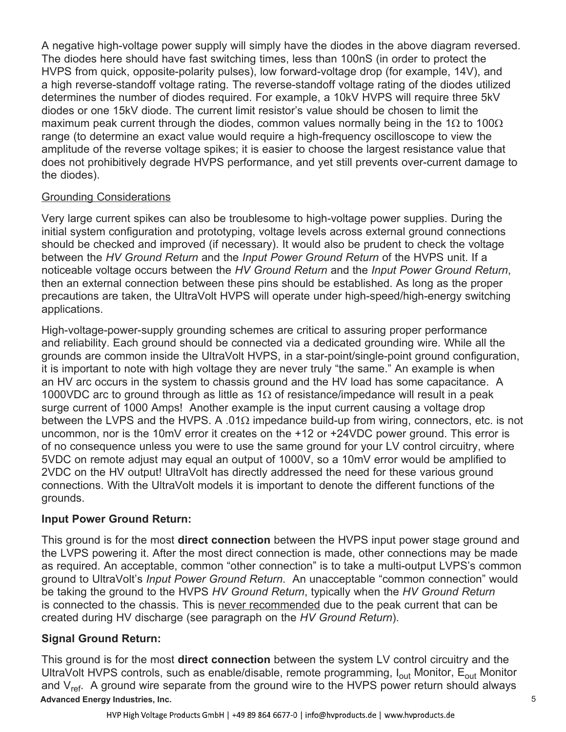A negative high-voltage power supply will simply have the diodes in the above diagram reversed. The diodes here should have fast switching times, less than 100nS (in order to protect the HVPS from quick, opposite-polarity pulses), low forward-voltage drop (for example, 14V), and a high reverse-standoff voltage rating. The reverse-standoff voltage rating of the diodes utilized determines the number of diodes required. For example, a 10kV HVPS will require three 5kV diodes or one 15kV diode. The current limit resistor's value should be chosen to limit the maximum peak current through the diodes, common values normally being in the 1 $\Omega$  to 100 $\Omega$ range (to determine an exact value would require a high-frequency oscilloscope to view the amplitude of the reverse voltage spikes; it is easier to choose the largest resistance value that does not prohibitively degrade HVPS performance, and yet still prevents over-current damage to the diodes).

## Grounding Considerations

Very large current spikes can also be troublesome to high-voltage power supplies. During the initial system configuration and prototyping, voltage levels across external ground connections should be checked and improved (if necessary). It would also be prudent to check the voltage between the *HV Ground Return* and the *Input Power Ground Return* of the HVPS unit. If a noticeable voltage occurs between the *HV Ground Return* and the *Input Power Ground Return*, then an external connection between these pins should be established. As long as the proper precautions are taken, the UltraVolt HVPS will operate under high-speed/high-energy switching applications.

High-voltage-power-supply grounding schemes are critical to assuring proper performance and reliability. Each ground should be connected via a dedicated grounding wire. While all the grounds are common inside the UltraVolt HVPS, in a star-point/single-point ground configuration, it is important to note with high voltage they are never truly "the same." An example is when an HV arc occurs in the system to chassis ground and the HV load has some capacitance. A 1000VDC arc to ground through as little as 1 $\Omega$  of resistance/impedance will result in a peak surge current of 1000 Amps! Another example is the input current causing a voltage drop between the LVPS and the HVPS. A .01 $\Omega$  impedance build-up from wiring, connectors, etc. is not uncommon, nor is the 10mV error it creates on the +12 or +24VDC power ground. This error is of no consequence unless you were to use the same ground for your LV control circuitry, where 5VDC on remote adjust may equal an output of 1000V, so a 10mV error would be amplified to 2VDC on the HV output! UltraVolt has directly addressed the need for these various ground connections. With the UltraVolt models it is important to denote the different functions of the grounds.

# **Input Power Ground Return:**

This ground is for the most **direct connection** between the HVPS input power stage ground and the LVPS powering it. After the most direct connection is made, other connections may be made as required. An acceptable, common "other connection" is to take a multi-output LVPS's common ground to UltraVolt's *Input Power Ground Return*. An unacceptable "common connection" would be taking the ground to the HVPS *HV Ground Return*, typically when the *HV Ground Return* is connected to the chassis. This is never recommended due to the peak current that can be created during HV discharge (see paragraph on the *HV Ground Return*).

# **Signal Ground Return:**

**Advanced Energy Industries, Inc.**  This ground is for the most **direct connection** between the system LV control circuitry and the UltraVolt HVPS controls, such as enable/disable, remote programming,  $I_{out}$  Monitor,  $E_{out}$  Monitor and  $V_{ref.}$  A ground wire separate from the ground wire to the HVPS power return should always